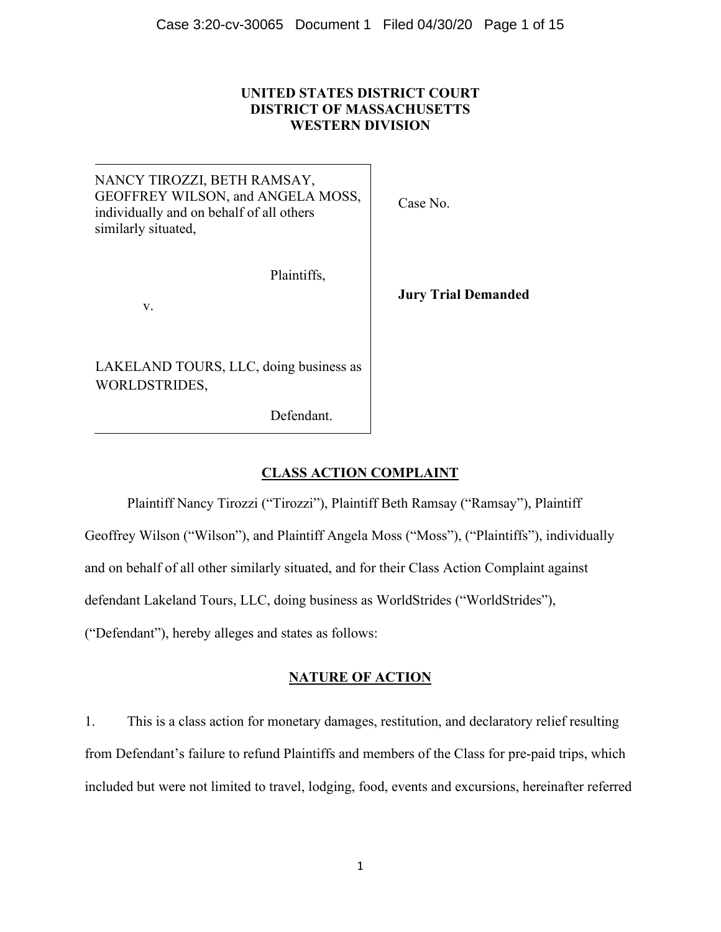### **UNITED STATES DISTRICT COURT DISTRICT OF MASSACHUSETTS WESTERN DIVISION**

NANCY TIROZZI, BETH RAMSAY, GEOFFREY WILSON, and ANGELA MOSS, individually and on behalf of all others similarly situated,

Plaintiffs,

v.

LAKELAND TOURS, LLC, doing business as WORLDSTRIDES,

Defendant.

Case No.

**Jury Trial Demanded**

# **CLASS ACTION COMPLAINT**

Plaintiff Nancy Tirozzi ("Tirozzi"), Plaintiff Beth Ramsay ("Ramsay"), Plaintiff Geoffrey Wilson ("Wilson"), and Plaintiff Angela Moss ("Moss"), ("Plaintiffs"), individually and on behalf of all other similarly situated, and for their Class Action Complaint against defendant Lakeland Tours, LLC, doing business as WorldStrides ("WorldStrides"), ("Defendant"), hereby alleges and states as follows:

## **NATURE OF ACTION**

1. This is a class action for monetary damages, restitution, and declaratory relief resulting from Defendant's failure to refund Plaintiffs and members of the Class for pre-paid trips, which included but were not limited to travel, lodging, food, events and excursions, hereinafter referred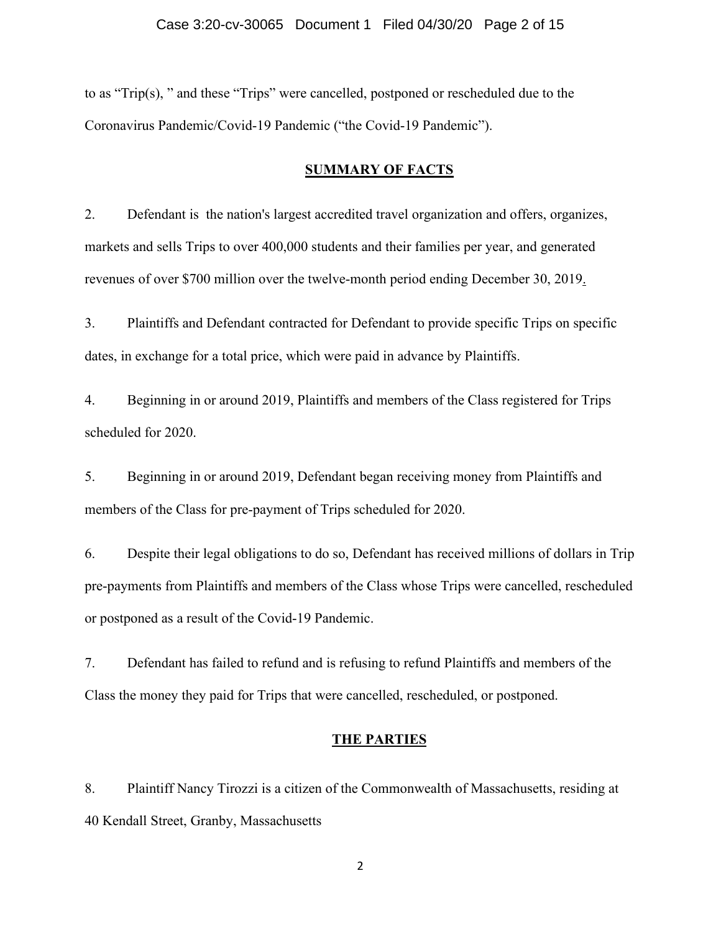to as "Trip(s), " and these "Trips" were cancelled, postponed or rescheduled due to the Coronavirus Pandemic/Covid-19 Pandemic ("the Covid-19 Pandemic").

#### **SUMMARY OF FACTS**

2. Defendant is the nation's largest accredited travel organization and offers, organizes, markets and sells Trips to over 400,000 students and their families per year, and generated revenues of over \$700 million over the twelve-month period ending December 30, 2019.

3. Plaintiffs and Defendant contracted for Defendant to provide specific Trips on specific dates, in exchange for a total price, which were paid in advance by Plaintiffs.

4. Beginning in or around 2019, Plaintiffs and members of the Class registered for Trips scheduled for 2020.

5. Beginning in or around 2019, Defendant began receiving money from Plaintiffs and members of the Class for pre-payment of Trips scheduled for 2020.

6. Despite their legal obligations to do so, Defendant has received millions of dollars in Trip pre-payments from Plaintiffs and members of the Class whose Trips were cancelled, rescheduled or postponed as a result of the Covid-19 Pandemic.

7. Defendant has failed to refund and is refusing to refund Plaintiffs and members of the Class the money they paid for Trips that were cancelled, rescheduled, or postponed.

### **THE PARTIES**

8. Plaintiff Nancy Tirozzi is a citizen of the Commonwealth of Massachusetts, residing at 40 Kendall Street, Granby, Massachusetts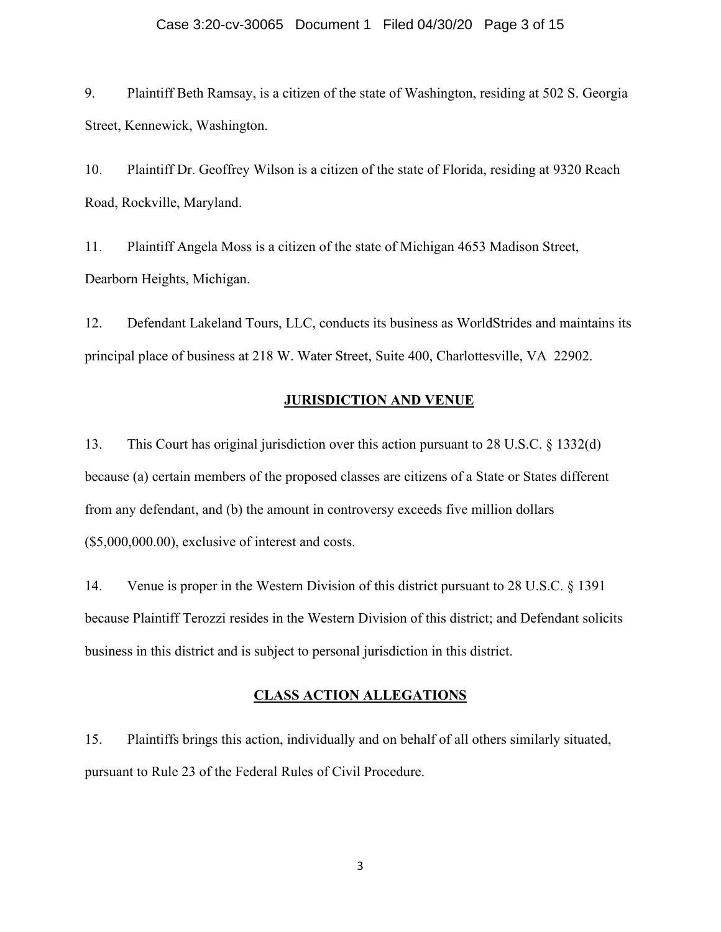#### Case 3:20-cv-30065 Document 1 Filed 04/30/20 Page 3 of 15

9. Plaintiff Beth Ramsay, is a citizen of the state of Washington, residing at 502 S. Georgia Street, Kennewick, Washington.

10. Plaintiff Dr. Geoffrey Wilson is a citizen of the state of Florida, residing at 9320 Reach Road, Rockville, Maryland.

11. Plaintiff Angela Moss is a citizen of the state of Michigan 4653 Madison Street, Dearborn Heights, Michigan.

12. Defendant Lakeland Tours, LLC, conducts its business as WorldStrides and maintains its principal place of business at 218 W. Water Street, Suite 400, Charlottesville, VA 22902.

#### **JURISDICTION AND VENUE**

13. This Court has original jurisdiction over this action pursuant to 28 U.S.C. § 1332(d) because (a) certain members of the proposed classes are citizens of a State or States different from any defendant, and (b) the amount in controversy exceeds five million dollars (\$5,000,000.00), exclusive of interest and costs.

14. Venue is proper in the Western Division of this district pursuant to 28 U.S.C. § 1391 because Plaintiff Terozzi resides in the Western Division of this district; and Defendant solicits business in this district and is subject to personal jurisdiction in this district.

### **CLASS ACTION ALLEGATIONS**

15. Plaintiffs brings this action, individually and on behalf of all others similarly situated, pursuant to Rule 23 of the Federal Rules of Civil Procedure.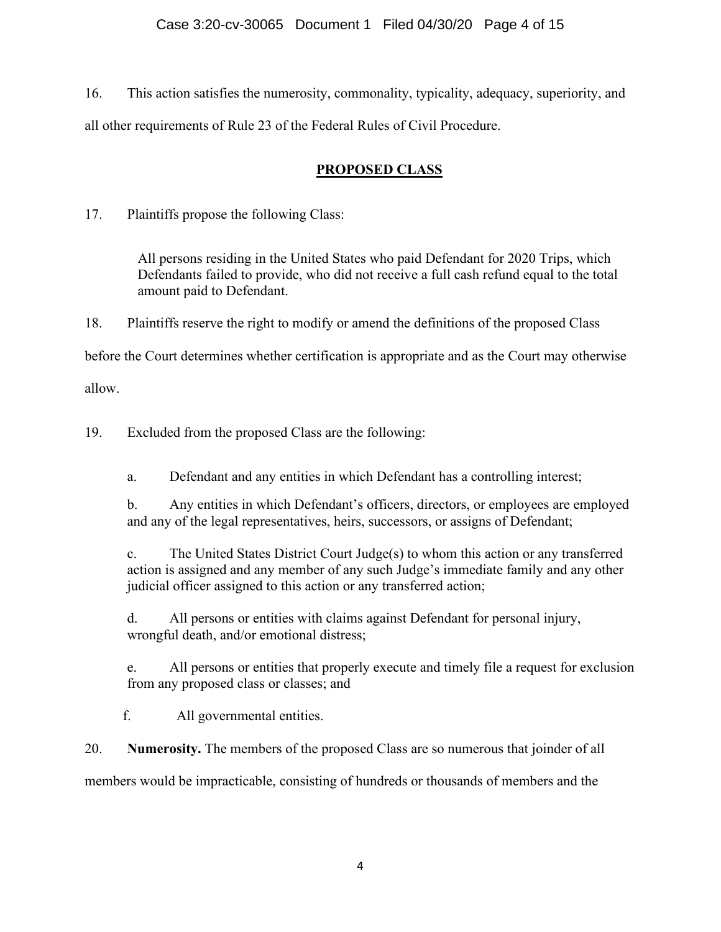16. This action satisfies the numerosity, commonality, typicality, adequacy, superiority, and all other requirements of Rule 23 of the Federal Rules of Civil Procedure.

# **PROPOSED CLASS**

17. Plaintiffs propose the following Class:

All persons residing in the United States who paid Defendant for 2020 Trips, which Defendants failed to provide, who did not receive a full cash refund equal to the total amount paid to Defendant.

18. Plaintiffs reserve the right to modify or amend the definitions of the proposed Class

before the Court determines whether certification is appropriate and as the Court may otherwise

allow.

19. Excluded from the proposed Class are the following:

a. Defendant and any entities in which Defendant has a controlling interest;

b. Any entities in which Defendant's officers, directors, or employees are employed and any of the legal representatives, heirs, successors, or assigns of Defendant;

c. The United States District Court Judge(s) to whom this action or any transferred action is assigned and any member of any such Judge's immediate family and any other judicial officer assigned to this action or any transferred action;

d. All persons or entities with claims against Defendant for personal injury, wrongful death, and/or emotional distress;

e. All persons or entities that properly execute and timely file a request for exclusion from any proposed class or classes; and

f. All governmental entities.

20. **Numerosity.** The members of the proposed Class are so numerous that joinder of all

members would be impracticable, consisting of hundreds or thousands of members and the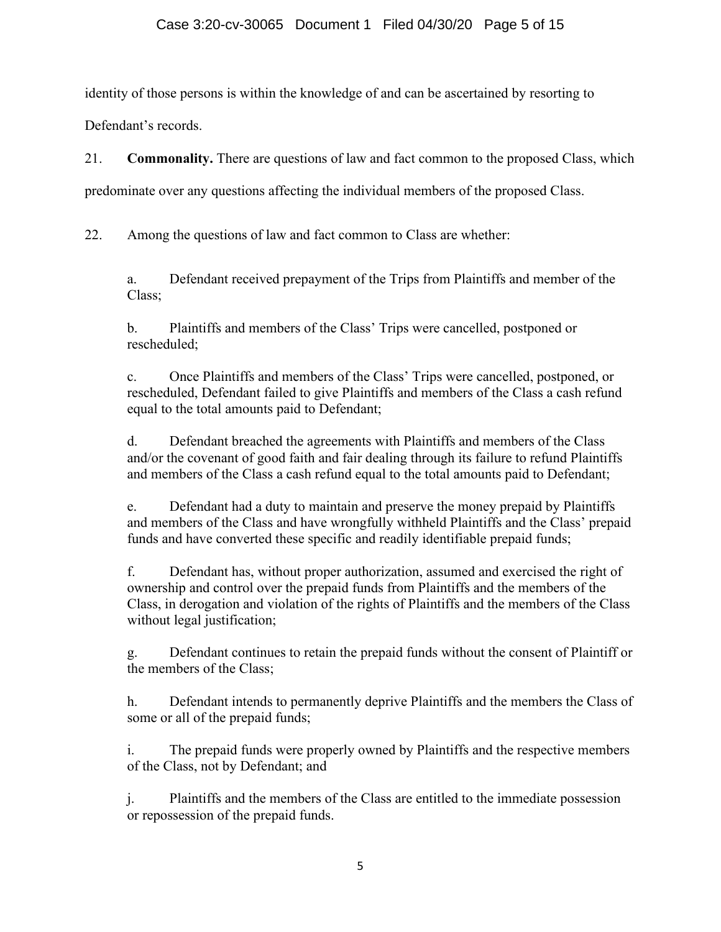identity of those persons is within the knowledge of and can be ascertained by resorting to

Defendant's records.

21. **Commonality.** There are questions of law and fact common to the proposed Class, which

predominate over any questions affecting the individual members of the proposed Class.

22. Among the questions of law and fact common to Class are whether:

a. Defendant received prepayment of the Trips from Plaintiffs and member of the Class;

b. Plaintiffs and members of the Class' Trips were cancelled, postponed or rescheduled;

c. Once Plaintiffs and members of the Class' Trips were cancelled, postponed, or rescheduled, Defendant failed to give Plaintiffs and members of the Class a cash refund equal to the total amounts paid to Defendant;

d. Defendant breached the agreements with Plaintiffs and members of the Class and/or the covenant of good faith and fair dealing through its failure to refund Plaintiffs and members of the Class a cash refund equal to the total amounts paid to Defendant;

e. Defendant had a duty to maintain and preserve the money prepaid by Plaintiffs and members of the Class and have wrongfully withheld Plaintiffs and the Class' prepaid funds and have converted these specific and readily identifiable prepaid funds;

f. Defendant has, without proper authorization, assumed and exercised the right of ownership and control over the prepaid funds from Plaintiffs and the members of the Class, in derogation and violation of the rights of Plaintiffs and the members of the Class without legal justification;

g. Defendant continues to retain the prepaid funds without the consent of Plaintiff or the members of the Class;

h. Defendant intends to permanently deprive Plaintiffs and the members the Class of some or all of the prepaid funds;

i. The prepaid funds were properly owned by Plaintiffs and the respective members of the Class, not by Defendant; and

j. Plaintiffs and the members of the Class are entitled to the immediate possession or repossession of the prepaid funds.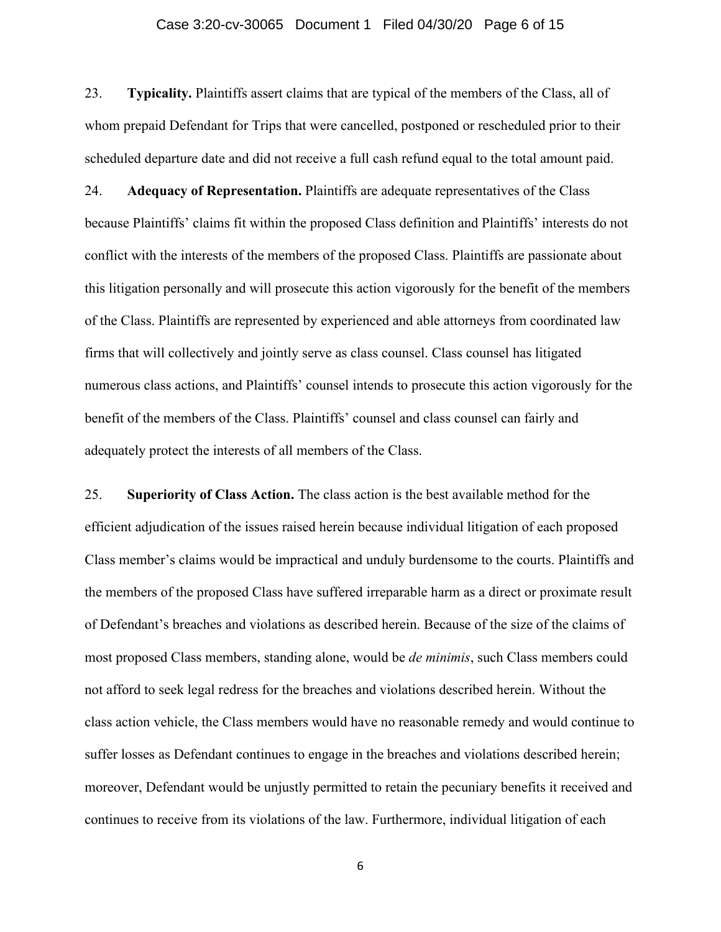#### Case 3:20-cv-30065 Document 1 Filed 04/30/20 Page 6 of 15

23. **Typicality.** Plaintiffs assert claims that are typical of the members of the Class, all of whom prepaid Defendant for Trips that were cancelled, postponed or rescheduled prior to their scheduled departure date and did not receive a full cash refund equal to the total amount paid.

24. **Adequacy of Representation.** Plaintiffs are adequate representatives of the Class because Plaintiffs' claims fit within the proposed Class definition and Plaintiffs' interests do not conflict with the interests of the members of the proposed Class. Plaintiffs are passionate about this litigation personally and will prosecute this action vigorously for the benefit of the members of the Class. Plaintiffs are represented by experienced and able attorneys from coordinated law firms that will collectively and jointly serve as class counsel. Class counsel has litigated numerous class actions, and Plaintiffs' counsel intends to prosecute this action vigorously for the benefit of the members of the Class. Plaintiffs' counsel and class counsel can fairly and adequately protect the interests of all members of the Class.

25. **Superiority of Class Action.** The class action is the best available method for the efficient adjudication of the issues raised herein because individual litigation of each proposed Class member's claims would be impractical and unduly burdensome to the courts. Plaintiffs and the members of the proposed Class have suffered irreparable harm as a direct or proximate result of Defendant's breaches and violations as described herein. Because of the size of the claims of most proposed Class members, standing alone, would be *de minimis*, such Class members could not afford to seek legal redress for the breaches and violations described herein. Without the class action vehicle, the Class members would have no reasonable remedy and would continue to suffer losses as Defendant continues to engage in the breaches and violations described herein; moreover, Defendant would be unjustly permitted to retain the pecuniary benefits it received and continues to receive from its violations of the law. Furthermore, individual litigation of each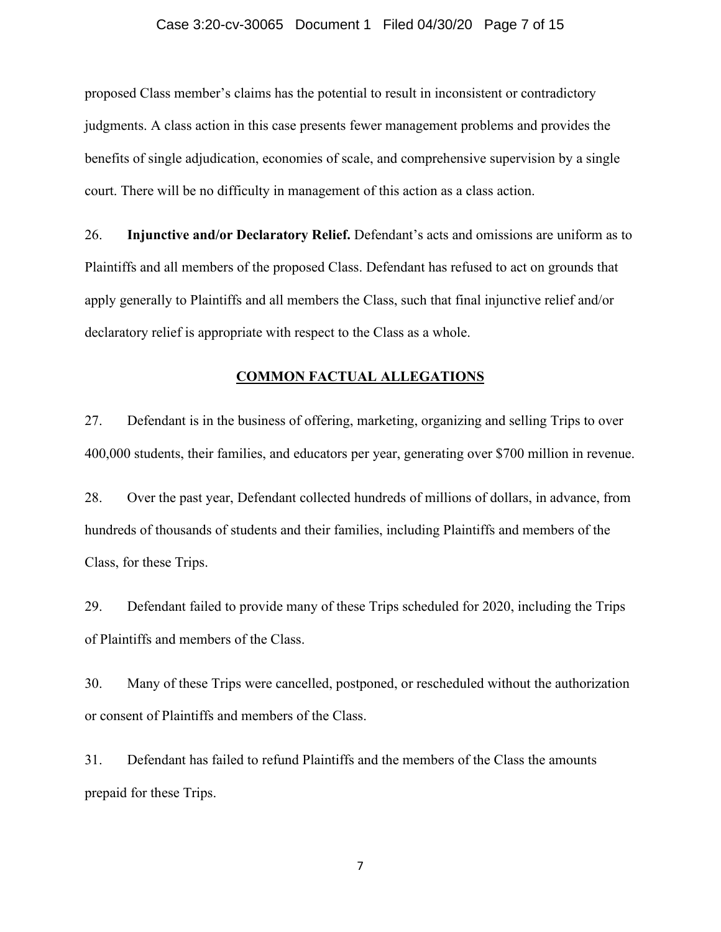#### Case 3:20-cv-30065 Document 1 Filed 04/30/20 Page 7 of 15

proposed Class member's claims has the potential to result in inconsistent or contradictory judgments. A class action in this case presents fewer management problems and provides the benefits of single adjudication, economies of scale, and comprehensive supervision by a single court. There will be no difficulty in management of this action as a class action.

26. **Injunctive and/or Declaratory Relief.** Defendant's acts and omissions are uniform as to Plaintiffs and all members of the proposed Class. Defendant has refused to act on grounds that apply generally to Plaintiffs and all members the Class, such that final injunctive relief and/or declaratory relief is appropriate with respect to the Class as a whole.

### **COMMON FACTUAL ALLEGATIONS**

27. Defendant is in the business of offering, marketing, organizing and selling Trips to over 400,000 students, their families, and educators per year, generating over \$700 million in revenue.

28. Over the past year, Defendant collected hundreds of millions of dollars, in advance, from hundreds of thousands of students and their families, including Plaintiffs and members of the Class, for these Trips.

29. Defendant failed to provide many of these Trips scheduled for 2020, including the Trips of Plaintiffs and members of the Class.

30. Many of these Trips were cancelled, postponed, or rescheduled without the authorization or consent of Plaintiffs and members of the Class.

31. Defendant has failed to refund Plaintiffs and the members of the Class the amounts prepaid for these Trips.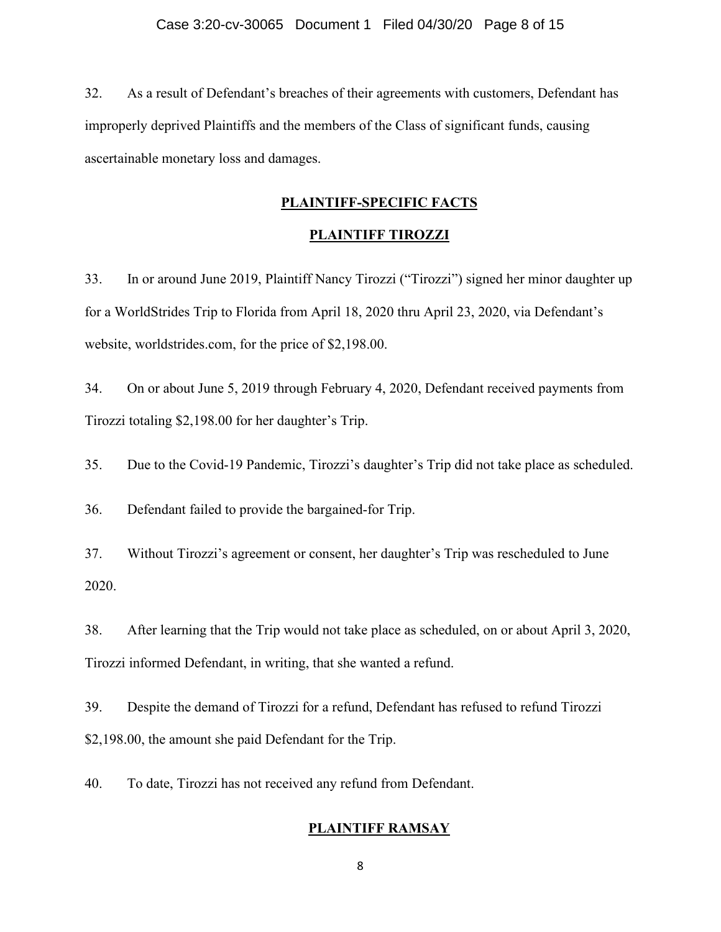32. As a result of Defendant's breaches of their agreements with customers, Defendant has improperly deprived Plaintiffs and the members of the Class of significant funds, causing ascertainable monetary loss and damages.

#### **PLAINTIFF-SPECIFIC FACTS**

### **PLAINTIFF TIROZZI**

33. In or around June 2019, Plaintiff Nancy Tirozzi ("Tirozzi") signed her minor daughter up for a WorldStrides Trip to Florida from April 18, 2020 thru April 23, 2020, via Defendant's website, worldstrides.com, for the price of \$2,198.00.

34. On or about June 5, 2019 through February 4, 2020, Defendant received payments from Tirozzi totaling \$2,198.00 for her daughter's Trip.

35. Due to the Covid-19 Pandemic, Tirozzi's daughter's Trip did not take place as scheduled.

36. Defendant failed to provide the bargained-for Trip.

37. Without Tirozzi's agreement or consent, her daughter's Trip was rescheduled to June 2020.

38. After learning that the Trip would not take place as scheduled, on or about April 3, 2020, Tirozzi informed Defendant, in writing, that she wanted a refund.

39. Despite the demand of Tirozzi for a refund, Defendant has refused to refund Tirozzi \$2,198.00, the amount she paid Defendant for the Trip.

40. To date, Tirozzi has not received any refund from Defendant.

### **PLAINTIFF RAMSAY**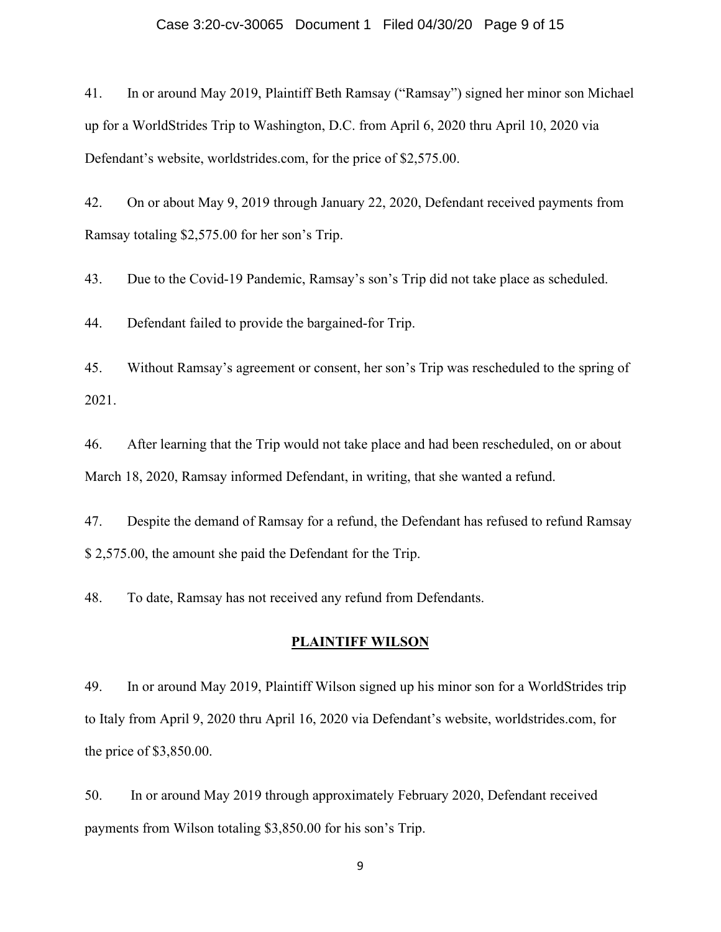#### Case 3:20-cv-30065 Document 1 Filed 04/30/20 Page 9 of 15

41. In or around May 2019, Plaintiff Beth Ramsay ("Ramsay") signed her minor son Michael up for a WorldStrides Trip to Washington, D.C. from April 6, 2020 thru April 10, 2020 via Defendant's website, worldstrides.com, for the price of \$2,575.00.

42. On or about May 9, 2019 through January 22, 2020, Defendant received payments from Ramsay totaling \$2,575.00 for her son's Trip.

43. Due to the Covid-19 Pandemic, Ramsay's son's Trip did not take place as scheduled.

44. Defendant failed to provide the bargained-for Trip.

45. Without Ramsay's agreement or consent, her son's Trip was rescheduled to the spring of 2021.

46. After learning that the Trip would not take place and had been rescheduled, on or about March 18, 2020, Ramsay informed Defendant, in writing, that she wanted a refund.

47. Despite the demand of Ramsay for a refund, the Defendant has refused to refund Ramsay \$ 2,575.00, the amount she paid the Defendant for the Trip.

48. To date, Ramsay has not received any refund from Defendants.

### **PLAINTIFF WILSON**

49. In or around May 2019, Plaintiff Wilson signed up his minor son for a WorldStrides trip to Italy from April 9, 2020 thru April 16, 2020 via Defendant's website, worldstrides.com, for the price of \$3,850.00.

50. In or around May 2019 through approximately February 2020, Defendant received payments from Wilson totaling \$3,850.00 for his son's Trip.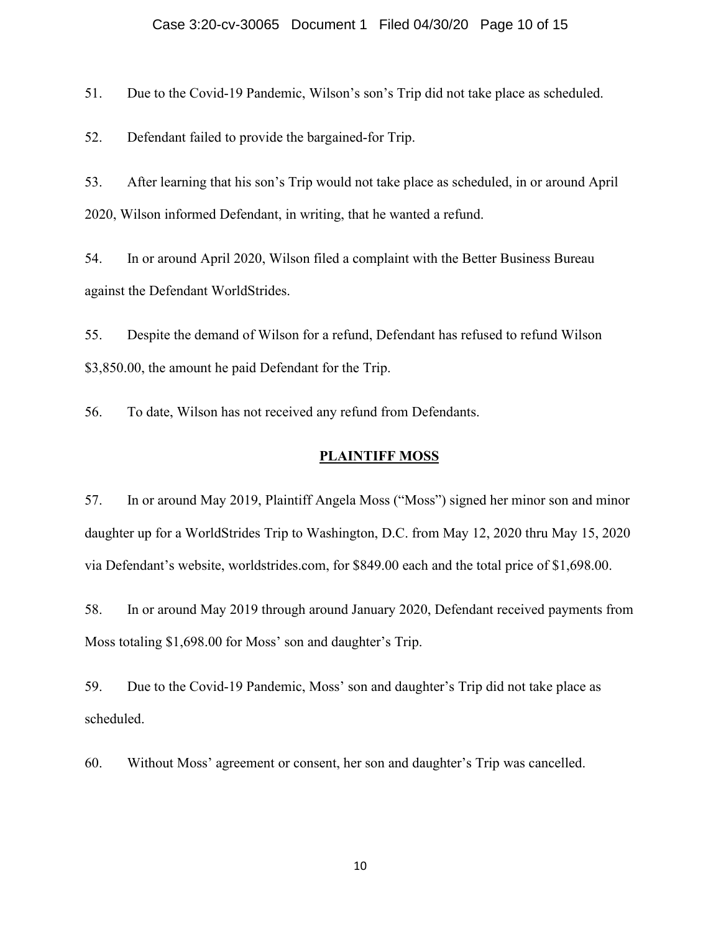#### Case 3:20-cv-30065 Document 1 Filed 04/30/20 Page 10 of 15

51. Due to the Covid-19 Pandemic, Wilson's son's Trip did not take place as scheduled.

52. Defendant failed to provide the bargained-for Trip.

53. After learning that his son's Trip would not take place as scheduled, in or around April 2020, Wilson informed Defendant, in writing, that he wanted a refund.

54. In or around April 2020, Wilson filed a complaint with the Better Business Bureau against the Defendant WorldStrides.

55. Despite the demand of Wilson for a refund, Defendant has refused to refund Wilson \$3,850.00, the amount he paid Defendant for the Trip.

56. To date, Wilson has not received any refund from Defendants.

## **PLAINTIFF MOSS**

57. In or around May 2019, Plaintiff Angela Moss ("Moss") signed her minor son and minor daughter up for a WorldStrides Trip to Washington, D.C. from May 12, 2020 thru May 15, 2020 via Defendant's website, worldstrides.com, for \$849.00 each and the total price of \$1,698.00.

58. In or around May 2019 through around January 2020, Defendant received payments from Moss totaling \$1,698.00 for Moss' son and daughter's Trip.

59. Due to the Covid-19 Pandemic, Moss' son and daughter's Trip did not take place as scheduled.

60. Without Moss' agreement or consent, her son and daughter's Trip was cancelled.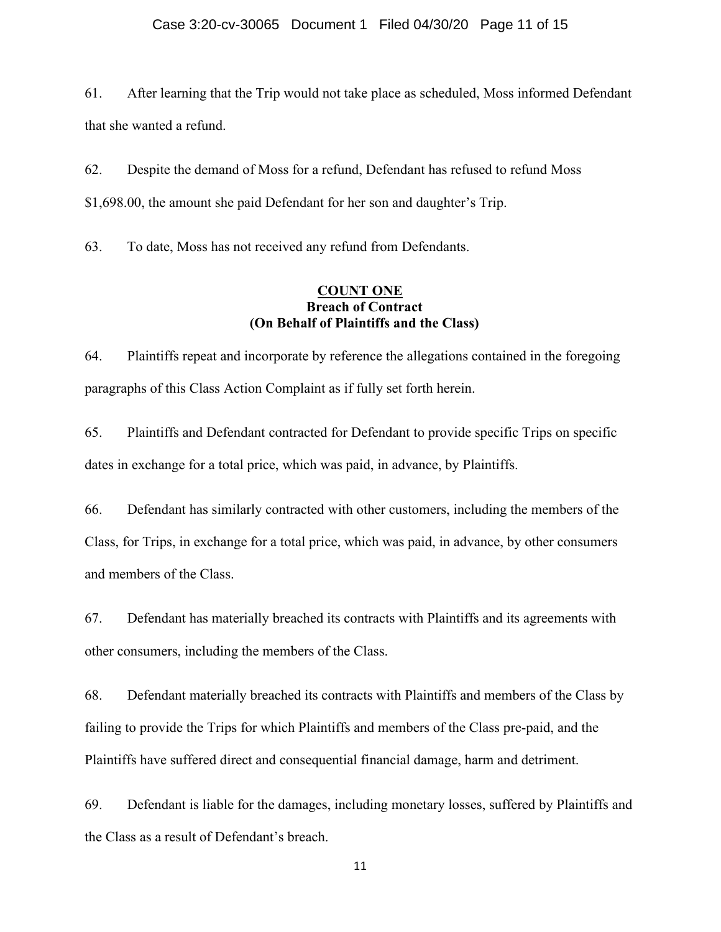61. After learning that the Trip would not take place as scheduled, Moss informed Defendant that she wanted a refund.

62. Despite the demand of Moss for a refund, Defendant has refused to refund Moss \$1,698.00, the amount she paid Defendant for her son and daughter's Trip.

63. To date, Moss has not received any refund from Defendants.

### **COUNT ONE Breach of Contract (On Behalf of Plaintiffs and the Class)**

64. Plaintiffs repeat and incorporate by reference the allegations contained in the foregoing paragraphs of this Class Action Complaint as if fully set forth herein.

65. Plaintiffs and Defendant contracted for Defendant to provide specific Trips on specific dates in exchange for a total price, which was paid, in advance, by Plaintiffs.

66. Defendant has similarly contracted with other customers, including the members of the Class, for Trips, in exchange for a total price, which was paid, in advance, by other consumers and members of the Class.

67. Defendant has materially breached its contracts with Plaintiffs and its agreements with other consumers, including the members of the Class.

68. Defendant materially breached its contracts with Plaintiffs and members of the Class by failing to provide the Trips for which Plaintiffs and members of the Class pre-paid, and the Plaintiffs have suffered direct and consequential financial damage, harm and detriment.

69. Defendant is liable for the damages, including monetary losses, suffered by Plaintiffs and the Class as a result of Defendant's breach.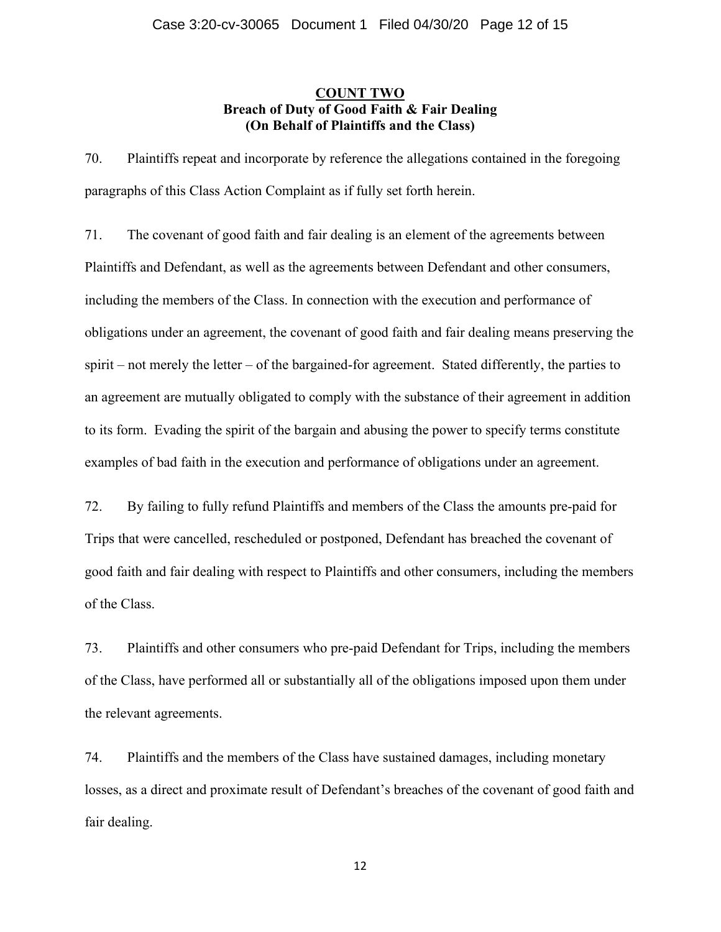### **COUNT TWO Breach of Duty of Good Faith & Fair Dealing (On Behalf of Plaintiffs and the Class)**

70. Plaintiffs repeat and incorporate by reference the allegations contained in the foregoing paragraphs of this Class Action Complaint as if fully set forth herein.

71. The covenant of good faith and fair dealing is an element of the agreements between Plaintiffs and Defendant, as well as the agreements between Defendant and other consumers, including the members of the Class. In connection with the execution and performance of obligations under an agreement, the covenant of good faith and fair dealing means preserving the spirit – not merely the letter – of the bargained-for agreement. Stated differently, the parties to an agreement are mutually obligated to comply with the substance of their agreement in addition to its form. Evading the spirit of the bargain and abusing the power to specify terms constitute examples of bad faith in the execution and performance of obligations under an agreement.

72. By failing to fully refund Plaintiffs and members of the Class the amounts pre-paid for Trips that were cancelled, rescheduled or postponed, Defendant has breached the covenant of good faith and fair dealing with respect to Plaintiffs and other consumers, including the members of the Class.

73. Plaintiffs and other consumers who pre-paid Defendant for Trips, including the members of the Class, have performed all or substantially all of the obligations imposed upon them under the relevant agreements.

74. Plaintiffs and the members of the Class have sustained damages, including monetary losses, as a direct and proximate result of Defendant's breaches of the covenant of good faith and fair dealing.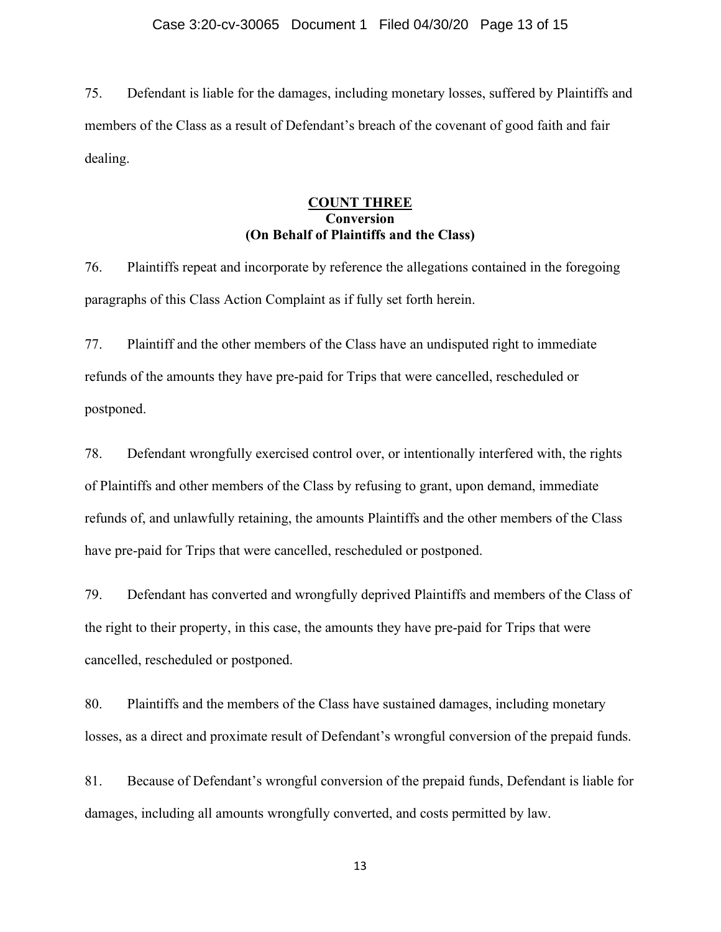75. Defendant is liable for the damages, including monetary losses, suffered by Plaintiffs and members of the Class as a result of Defendant's breach of the covenant of good faith and fair dealing.

### **COUNT THREE Conversion (On Behalf of Plaintiffs and the Class)**

76. Plaintiffs repeat and incorporate by reference the allegations contained in the foregoing paragraphs of this Class Action Complaint as if fully set forth herein.

77. Plaintiff and the other members of the Class have an undisputed right to immediate refunds of the amounts they have pre-paid for Trips that were cancelled, rescheduled or postponed.

78. Defendant wrongfully exercised control over, or intentionally interfered with, the rights of Plaintiffs and other members of the Class by refusing to grant, upon demand, immediate refunds of, and unlawfully retaining, the amounts Plaintiffs and the other members of the Class have pre-paid for Trips that were cancelled, rescheduled or postponed.

79. Defendant has converted and wrongfully deprived Plaintiffs and members of the Class of the right to their property, in this case, the amounts they have pre-paid for Trips that were cancelled, rescheduled or postponed.

80. Plaintiffs and the members of the Class have sustained damages, including monetary losses, as a direct and proximate result of Defendant's wrongful conversion of the prepaid funds.

81. Because of Defendant's wrongful conversion of the prepaid funds, Defendant is liable for damages, including all amounts wrongfully converted, and costs permitted by law.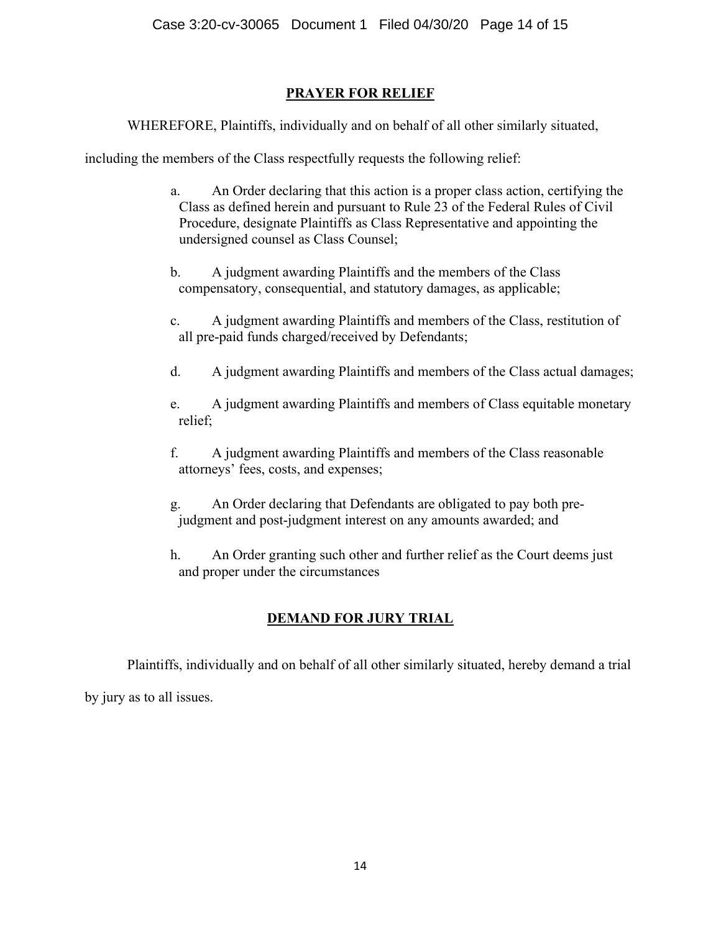# **PRAYER FOR RELIEF**

WHEREFORE, Plaintiffs, individually and on behalf of all other similarly situated,

including the members of the Class respectfully requests the following relief:

- a. An Order declaring that this action is a proper class action, certifying the Class as defined herein and pursuant to Rule 23 of the Federal Rules of Civil Procedure, designate Plaintiffs as Class Representative and appointing the undersigned counsel as Class Counsel;
- b. A judgment awarding Plaintiffs and the members of the Class compensatory, consequential, and statutory damages, as applicable;
- c. A judgment awarding Plaintiffs and members of the Class, restitution of all pre-paid funds charged/received by Defendants;
- d. A judgment awarding Plaintiffs and members of the Class actual damages;
- e. A judgment awarding Plaintiffs and members of Class equitable monetary relief;
- f. A judgment awarding Plaintiffs and members of the Class reasonable attorneys' fees, costs, and expenses;
- g. An Order declaring that Defendants are obligated to pay both prejudgment and post-judgment interest on any amounts awarded; and
- h. An Order granting such other and further relief as the Court deems just and proper under the circumstances

# **DEMAND FOR JURY TRIAL**

Plaintiffs, individually and on behalf of all other similarly situated, hereby demand a trial by jury as to all issues.